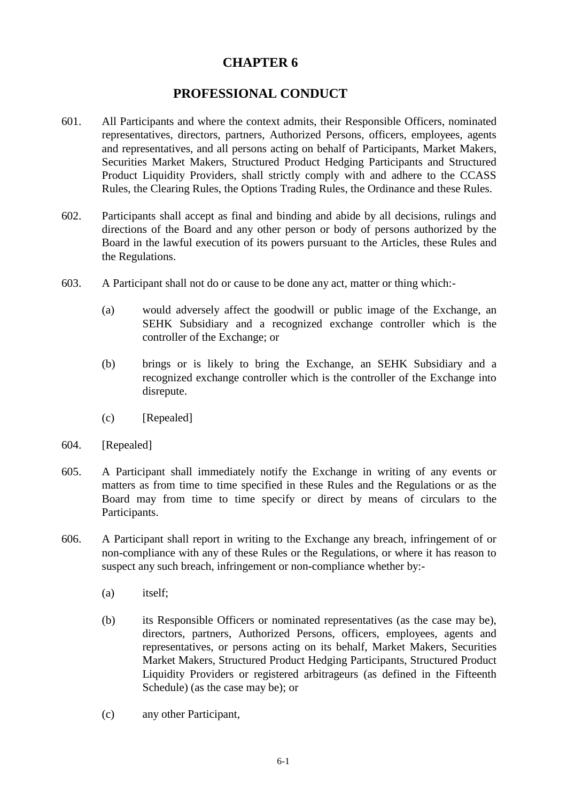## **CHAPTER 6**

## **PROFESSIONAL CONDUCT**

- 601. All Participants and where the context admits, their Responsible Officers, nominated representatives, directors, partners, Authorized Persons, officers, employees, agents and representatives, and all persons acting on behalf of Participants, Market Makers, Securities Market Makers, Structured Product Hedging Participants and Structured Product Liquidity Providers, shall strictly comply with and adhere to the CCASS Rules, the Clearing Rules, the Options Trading Rules, the Ordinance and these Rules.
- 602. Participants shall accept as final and binding and abide by all decisions, rulings and directions of the Board and any other person or body of persons authorized by the Board in the lawful execution of its powers pursuant to the Articles, these Rules and the Regulations.
- 603. A Participant shall not do or cause to be done any act, matter or thing which:-
	- (a) would adversely affect the goodwill or public image of the Exchange, an SEHK Subsidiary and a recognized exchange controller which is the controller of the Exchange; or
	- (b) brings or is likely to bring the Exchange, an SEHK Subsidiary and a recognized exchange controller which is the controller of the Exchange into disrepute.
	- (c) [Repealed]
- 604. [Repealed]
- 605. A Participant shall immediately notify the Exchange in writing of any events or matters as from time to time specified in these Rules and the Regulations or as the Board may from time to time specify or direct by means of circulars to the Participants.
- 606. A Participant shall report in writing to the Exchange any breach, infringement of or non-compliance with any of these Rules or the Regulations, or where it has reason to suspect any such breach, infringement or non-compliance whether by:-
	- (a) itself;
	- (b) its Responsible Officers or nominated representatives (as the case may be), directors, partners, Authorized Persons, officers, employees, agents and representatives, or persons acting on its behalf, Market Makers, Securities Market Makers, Structured Product Hedging Participants, Structured Product Liquidity Providers or registered arbitrageurs (as defined in the Fifteenth Schedule) (as the case may be); or
	- (c) any other Participant,